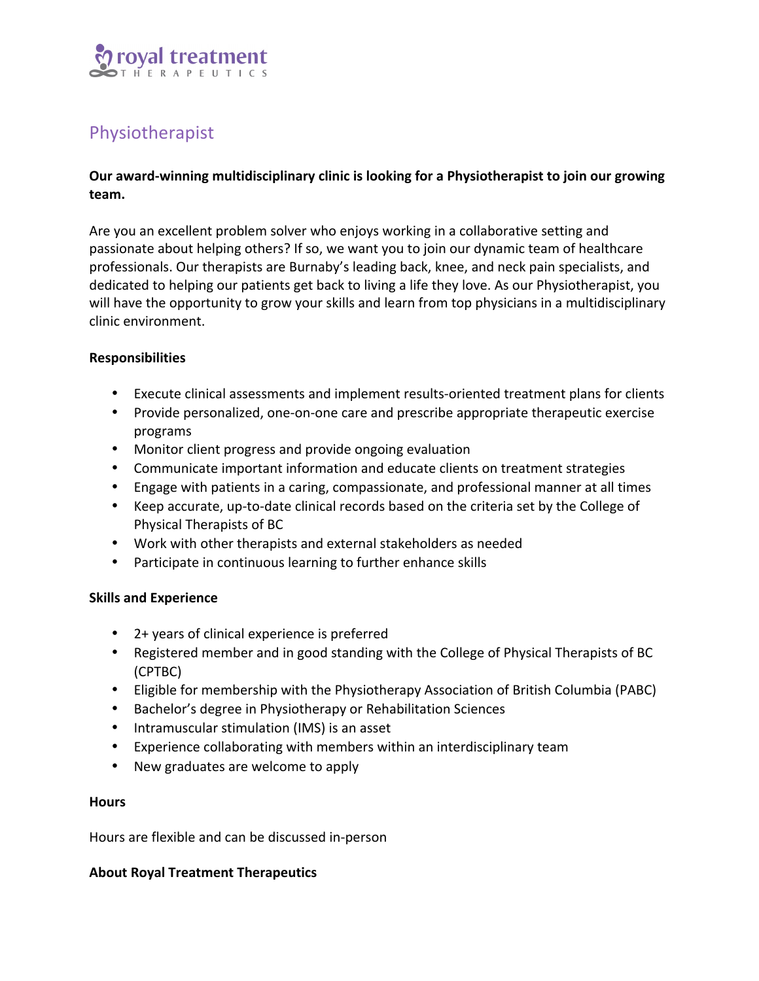

# Physiotherapist

# Our award-winning multidisciplinary clinic is looking for a Physiotherapist to join our growing **team.**

Are you an excellent problem solver who enjoys working in a collaborative setting and passionate about helping others? If so, we want you to join our dynamic team of healthcare professionals. Our therapists are Burnaby's leading back, knee, and neck pain specialists, and dedicated to helping our patients get back to living a life they love. As our Physiotherapist, you will have the opportunity to grow your skills and learn from top physicians in a multidisciplinary clinic environment.

# **Responsibilities**

- Execute clinical assessments and implement results-oriented treatment plans for clients
- Provide personalized, one-on-one care and prescribe appropriate therapeutic exercise programs
- Monitor client progress and provide ongoing evaluation
- Communicate important information and educate clients on treatment strategies
- Engage with patients in a caring, compassionate, and professional manner at all times
- Keep accurate, up-to-date clinical records based on the criteria set by the College of Physical Therapists of BC
- Work with other therapists and external stakeholders as needed
- Participate in continuous learning to further enhance skills

## **Skills and Experience**

- 2+ years of clinical experience is preferred
- Registered member and in good standing with the College of Physical Therapists of BC (CPTBC)
- Eligible for membership with the Physiotherapy Association of British Columbia (PABC)
- Bachelor's degree in Physiotherapy or Rehabilitation Sciences
- Intramuscular stimulation (IMS) is an asset
- Experience collaborating with members within an interdisciplinary team
- New graduates are welcome to apply

#### **Hours**

Hours are flexible and can be discussed in-person

## **About Royal Treatment Therapeutics**